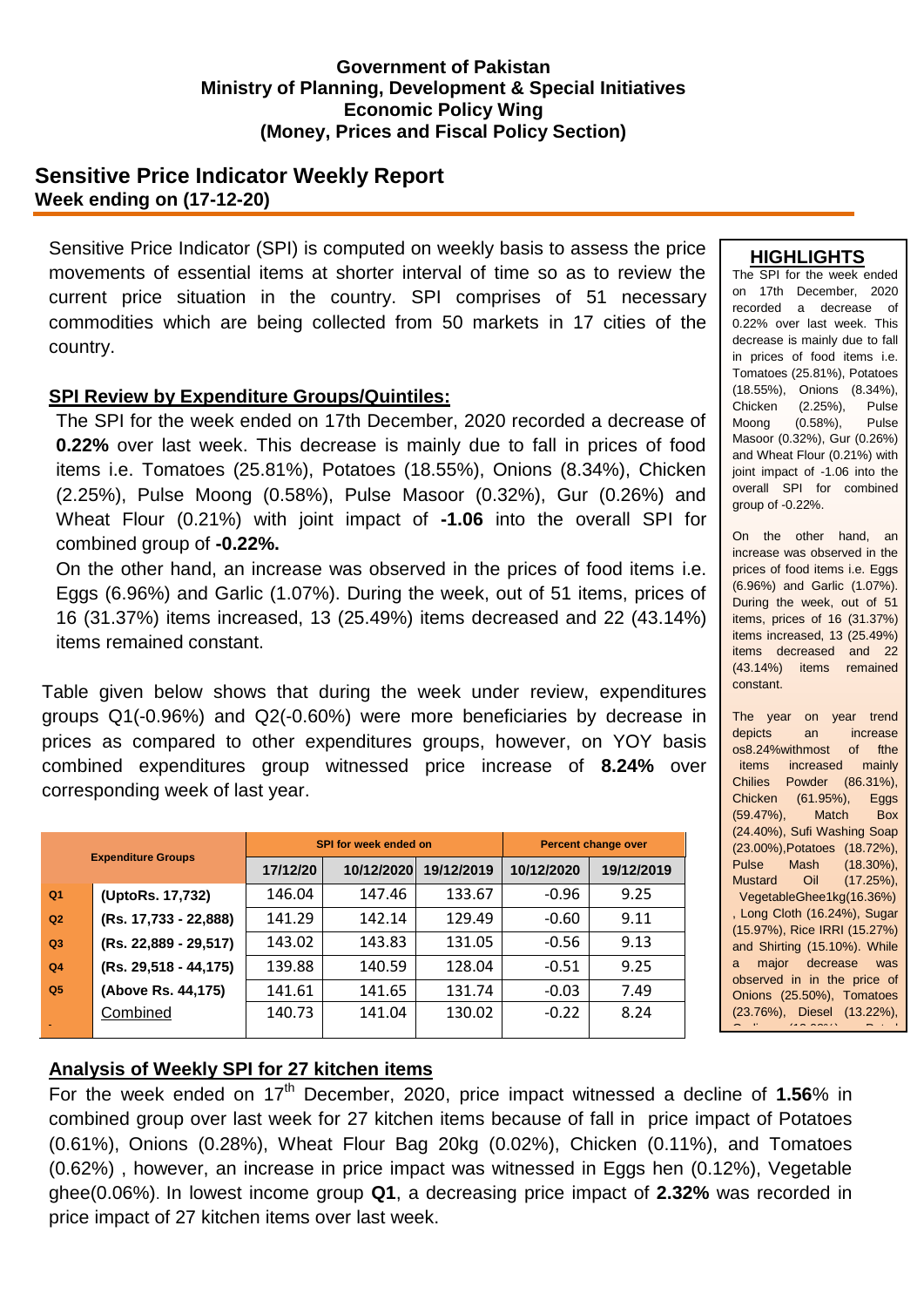### **Government of Pakistan Ministry of Planning, Development & Special Initiatives Economic Policy Wing (Money, Prices and Fiscal Policy Section)**

## **Sensitive Price Indicator Weekly Report Week ending on (17-12-20)**

Sensitive Price Indicator (SPI) is computed on weekly basis to assess the price movements of essential items at shorter interval of time so as to review the current price situation in the country. SPI comprises of 51 necessary commodities which are being collected from 50 markets in 17 cities of the country.

## **SPI Review by Expenditure Groups/Quintiles:**

The SPI for the week ended on 17th December, 2020 recorded a decrease of **0.22%** over last week. This decrease is mainly due to fall in prices of food items i.e. Tomatoes (25.81%), Potatoes (18.55%), Onions (8.34%), Chicken (2.25%), Pulse Moong (0.58%), Pulse Masoor (0.32%), Gur (0.26%) and Wheat Flour (0.21%) with joint impact of **-1.06** into the overall SPI for combined group of **-0.22%.**

On the other hand, an increase was observed in the prices of food items i.e. Eggs (6.96%) and Garlic (1.07%). During the week, out of 51 items, prices of 16 (31.37%) items increased, 13 (25.49%) items decreased and 22 (43.14%) items remained constant.

Table given below shows that during the week under review, expenditures groups Q1(-0.96%) and Q2(-0.60%) were more beneficiaries by decrease in prices as compared to other expenditures groups, however, on YOY basis combined expenditures group witnessed price increase of **8.24%** over corresponding week of last year.

| <b>Expenditure Groups</b> |                       |          | <b>SPI for week ended on</b> | Percent change over |            |            |
|---------------------------|-----------------------|----------|------------------------------|---------------------|------------|------------|
|                           |                       | 17/12/20 | 10/12/2020                   | 19/12/2019          | 10/12/2020 | 19/12/2019 |
| Q <sub>1</sub>            | (UptoRs. 17,732)      | 146.04   | 147.46                       | 133.67              | $-0.96$    | 9.25       |
| Q2                        | (Rs. 17,733 - 22,888) | 141.29   | 142.14                       | 129.49              | $-0.60$    | 9.11       |
| Q3                        | (Rs. 22,889 - 29,517) | 143.02   | 143.83                       | 131.05              | $-0.56$    | 9.13       |
| Q <sub>4</sub>            | (Rs. 29,518 - 44,175) | 139.88   | 140.59                       | 128.04              | $-0.51$    | 9.25       |
| Q <sub>5</sub>            | (Above Rs. 44,175)    | 141.61   | 141.65                       | 131.74              | $-0.03$    | 7.49       |
|                           | Combined              | 140.73   | 141.04                       | 130.02              | $-0.22$    | 8.24       |

### **HIGHLIGHTS**

The SPI for the week ended on 17th December, 2020 recorded a decrease of 0.22% over last week. This decrease is mainly due to fall in prices of food items i.e. Tomatoes (25.81%), Potatoes (18.55%), Onions (8.34%), Chicken (2.25%), Pulse Moong (0.58%), Pulse Masoor (0.32%), Gur (0.26%) and Wheat Flour (0.21%) with joint impact of -1.06 into the overall SPI for combined group of -0.22%.

On the other hand, an increase was observed in the prices of food items i.e. Eggs (6.96%) and Garlic (1.07%). During the week, out of 51 items, prices of 16 (31.37%) items increased, 13 (25.49%) items decreased and 22 (43.14%) items remained constant.

The year on year trend depicts an increase os8.24%withmost of fthe items increased mainly Chilies Powder (86.31%), Chicken (61.95%), Eggs (59.47%), Match Box (24.40%), Sufi Washing Soap (23.00%),Potatoes (18.72%), Pulse Mash (18.30%), Mustard Oil (17.25%), VegetableGhee1kg(16.36%) , Long Cloth (16.24%), Sugar (15.97%), Rice IRRI (15.27%) and Shirting (15.10%). While a major decrease was observed in in the price of Onions (25.50%), Tomatoes (23.76%), Diesel (13.22%), Garlic (13.08%), Petrol

# **Analysis of Weekly SPI for 27 kitchen items**

For the week ended on 17<sup>th</sup> December, 2020, price impact witnessed a decline of 1.56% in combined group over last week for 27 kitchen items because of fall in price impact of Potatoes (0.61%), Onions (0.28%), Wheat Flour Bag 20kg (0.02%), Chicken (0.11%), and Tomatoes (0.62%) , however, an increase in price impact was witnessed in Eggs hen (0.12%), Vegetable ghee(0.06%). In lowest income group **Q1**, a decreasing price impact of **2.32%** was recorded in price impact of 27 kitchen items over last week.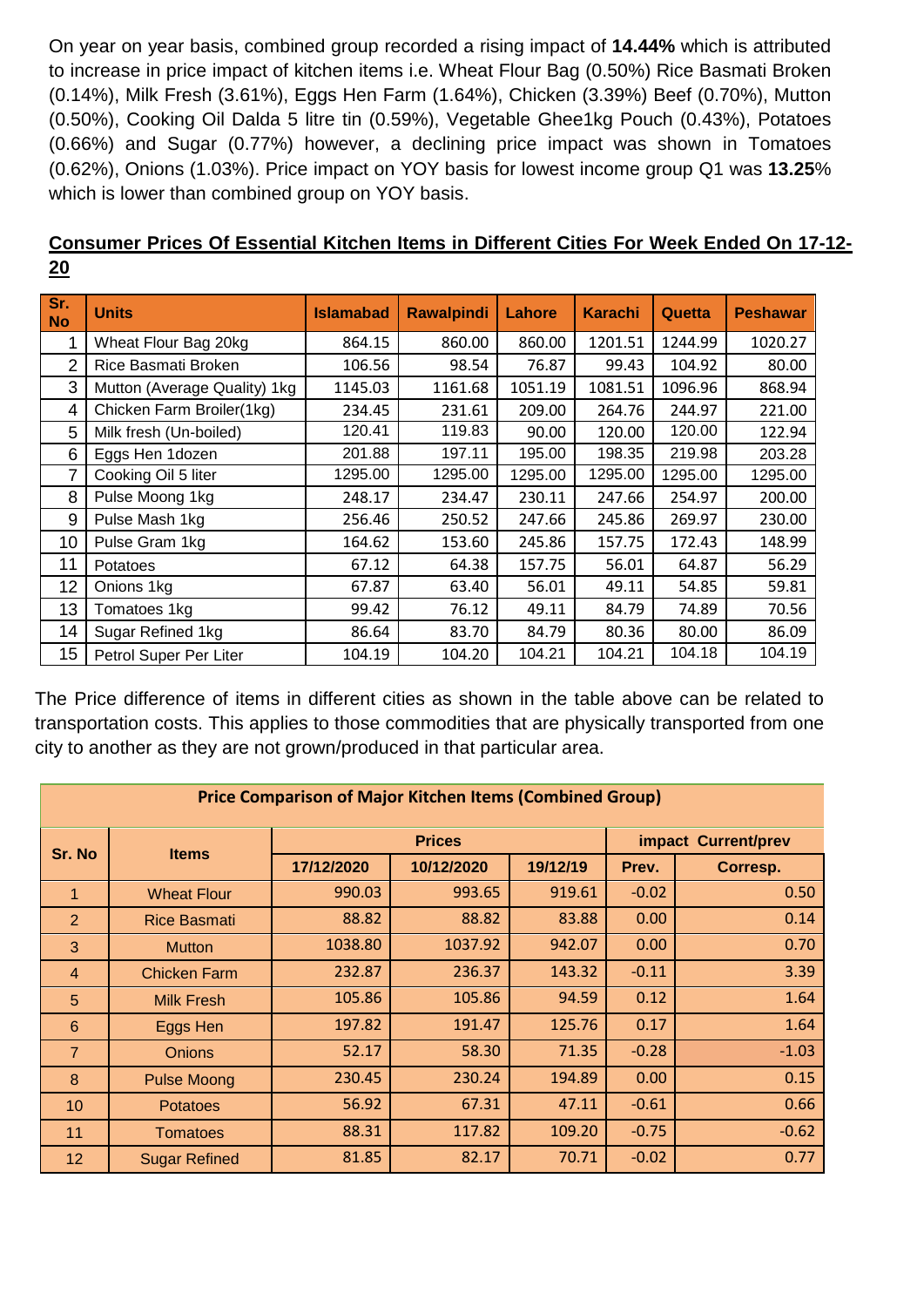On year on year basis, combined group recorded a rising impact of **14.44%** which is attributed to increase in price impact of kitchen items i.e. Wheat Flour Bag (0.50%) Rice Basmati Broken (0.14%), Milk Fresh (3.61%), Eggs Hen Farm (1.64%), Chicken (3.39%) Beef (0.70%), Mutton (0.50%), Cooking Oil Dalda 5 litre tin (0.59%), Vegetable Ghee1kg Pouch (0.43%), Potatoes (0.66%) and Sugar (0.77%) however, a declining price impact was shown in Tomatoes (0.62%), Onions (1.03%). Price impact on YOY basis for lowest income group Q1 was **13.25**% which is lower than combined group on YOY basis.

|    | Consumer Prices Of Essential Kitchen Items in Different Cities For Week Ended On 17-12- |  |  |  |  |
|----|-----------------------------------------------------------------------------------------|--|--|--|--|
| 20 |                                                                                         |  |  |  |  |

| Sr.<br><b>No</b> | <b>Units</b>                 | <b>Islamabad</b> | <b>Rawalpindi</b> | Lahore  | <b>Karachi</b> | Quetta  | <b>Peshawar</b> |
|------------------|------------------------------|------------------|-------------------|---------|----------------|---------|-----------------|
| 1                | Wheat Flour Bag 20kg         | 864.15           | 860.00            | 860.00  | 1201.51        | 1244.99 | 1020.27         |
| 2                | Rice Basmati Broken          | 106.56           | 98.54             | 76.87   | 99.43          | 104.92  | 80.00           |
| 3                | Mutton (Average Quality) 1kg | 1145.03          | 1161.68           | 1051.19 | 1081.51        | 1096.96 | 868.94          |
| 4                | Chicken Farm Broiler(1kg)    | 234.45           | 231.61            | 209.00  | 264.76         | 244.97  | 221.00          |
| 5                | Milk fresh (Un-boiled)       | 120.41           | 119.83            | 90.00   | 120.00         | 120.00  | 122.94          |
| 6                | Eggs Hen 1dozen              | 201.88           | 197.11            | 195.00  | 198.35         | 219.98  | 203.28          |
| 7                | Cooking Oil 5 liter          | 1295.00          | 1295.00           | 1295.00 | 1295.00        | 1295.00 | 1295.00         |
| 8                | Pulse Moong 1kg              | 248.17           | 234.47            | 230.11  | 247.66         | 254.97  | 200.00          |
| 9                | Pulse Mash 1kg               | 256.46           | 250.52            | 247.66  | 245.86         | 269.97  | 230.00          |
| 10               | Pulse Gram 1kg               | 164.62           | 153.60            | 245.86  | 157.75         | 172.43  | 148.99          |
| 11               | Potatoes                     | 67.12            | 64.38             | 157.75  | 56.01          | 64.87   | 56.29           |
| 12               | Onions 1kg                   | 67.87            | 63.40             | 56.01   | 49.11          | 54.85   | 59.81           |
| 13               | Tomatoes 1kg                 | 99.42            | 76.12             | 49.11   | 84.79          | 74.89   | 70.56           |
| 14               | Sugar Refined 1kg            | 86.64            | 83.70             | 84.79   | 80.36          | 80.00   | 86.09           |
| 15               | Petrol Super Per Liter       | 104.19           | 104.20            | 104.21  | 104.21         | 104.18  | 104.19          |

The Price difference of items in different cities as shown in the table above can be related to transportation costs. This applies to those commodities that are physically transported from one city to another as they are not grown/produced in that particular area.

| <b>Price Comparison of Major Kitchen Items (Combined Group)</b> |                      |            |               |                     |         |          |  |  |
|-----------------------------------------------------------------|----------------------|------------|---------------|---------------------|---------|----------|--|--|
| Sr. No                                                          | <b>Items</b>         |            | <b>Prices</b> | impact Current/prev |         |          |  |  |
|                                                                 |                      | 17/12/2020 | 10/12/2020    | 19/12/19            | Prev.   | Corresp. |  |  |
| 1                                                               | <b>Wheat Flour</b>   | 990.03     | 993.65        | 919.61              | $-0.02$ | 0.50     |  |  |
| 2                                                               | <b>Rice Basmati</b>  | 88.82      | 88.82         | 83.88               | 0.00    | 0.14     |  |  |
| 3                                                               | <b>Mutton</b>        | 1038.80    | 1037.92       | 942.07              | 0.00    | 0.70     |  |  |
| 4                                                               | <b>Chicken Farm</b>  | 232.87     | 236.37        | 143.32              | $-0.11$ | 3.39     |  |  |
| 5                                                               | <b>Milk Fresh</b>    | 105.86     | 105.86        | 94.59               | 0.12    | 1.64     |  |  |
| 6                                                               | Eggs Hen             | 197.82     | 191.47        | 125.76              | 0.17    | 1.64     |  |  |
| $\overline{7}$                                                  | <b>Onions</b>        | 52.17      | 58.30         | 71.35               | $-0.28$ | $-1.03$  |  |  |
| 8                                                               | <b>Pulse Moong</b>   | 230.45     | 230.24        | 194.89              | 0.00    | 0.15     |  |  |
| 10                                                              | <b>Potatoes</b>      | 56.92      | 67.31         | 47.11               | $-0.61$ | 0.66     |  |  |
| 11                                                              | Tomatoes             | 88.31      | 117.82        | 109.20              | $-0.75$ | $-0.62$  |  |  |
| 12 <sub>2</sub>                                                 | <b>Sugar Refined</b> | 81.85      | 82.17         | 70.71               | $-0.02$ | 0.77     |  |  |